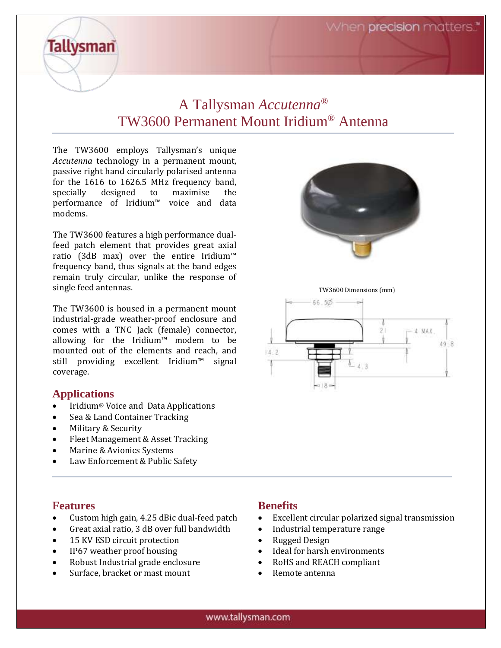When **precision** matters."

## A Tallysman *Accutenna®* TW3600 Permanent Mount Iridium® Antenna

The TW3600 employs Tallysman's unique *Accutenna* technology in a permanent mount, passive right hand circularly polarised antenna for the 1616 to 1626.5 MHz frequency band, specially designed to maximise the performance of Iridium™ voice and data modems.

The TW3600 features a high performance dualfeed patch element that provides great axial ratio (3dB max) over the entire Iridium™ frequency band, thus signals at the band edges remain truly circular, unlike the response of single feed antennas.

The TW3600 is housed in a permanent mount industrial-grade weather-proof enclosure and comes with a TNC Jack (female) connector, allowing for the Iridium™ modem to be mounted out of the elements and reach, and still providing excellent Iridium™ signal coverage.

#### **Applications**

**Tallysman** 

- Iridium® Voice and Data Applications
- Sea & Land Container Tracking
- Military & Security
- Fleet Management & Asset Tracking
- Marine & Avionics Systems
- Law Enforcement & Public Safety



- Custom high gain, 4.25 dBic dual-feed patch
- Great axial ratio, 3 dB over full bandwidth
- 15 KV ESD circuit protection
- IP67 weather proof housing
- Robust Industrial grade enclosure
- Surface, bracket or mast mount

#### **Benefits**

- Excellent circular polarized signal transmission
- Industrial temperature range
- Rugged Design
- Ideal for harsh environments
- RoHS and REACH compliant
- Remote antenna



TW3600 Dimensions (mm)